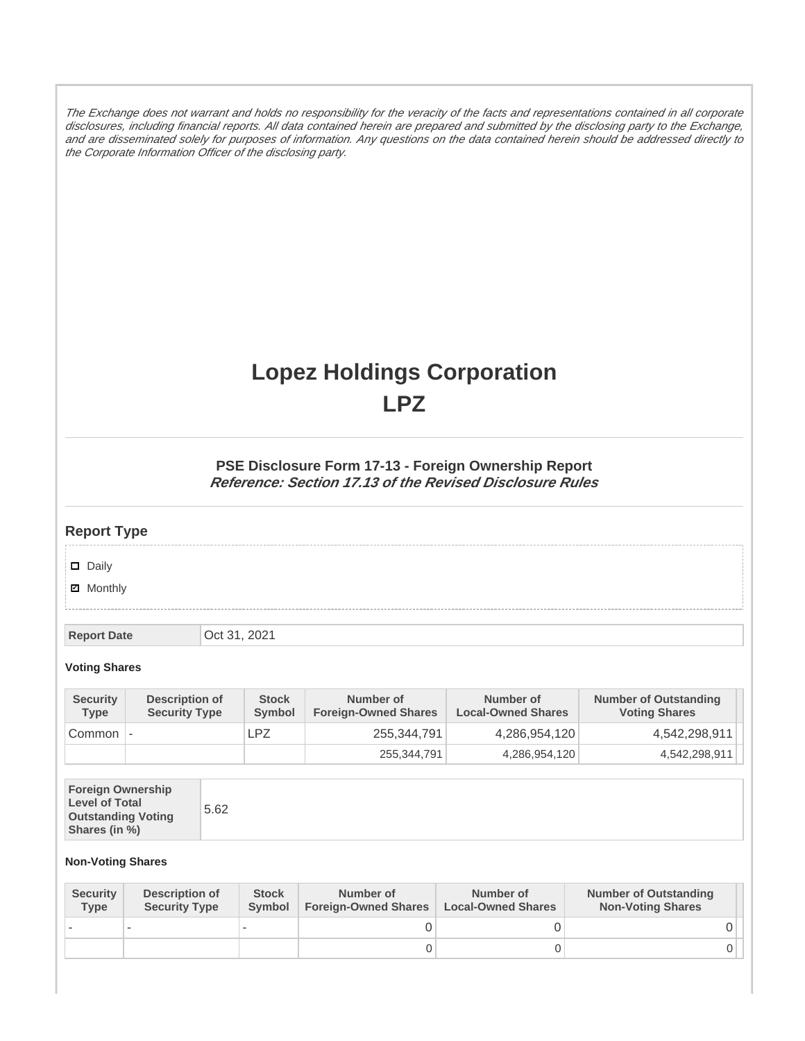The Exchange does not warrant and holds no responsibility for the veracity of the facts and representations contained in all corporate disclosures, including financial reports. All data contained herein are prepared and submitted by the disclosing party to the Exchange, and are disseminated solely for purposes of information. Any questions on the data contained herein should be addressed directly to the Corporate Information Officer of the disclosing party.

# **Lopez Holdings Corporation LPZ**

### **PSE Disclosure Form 17-13 - Foreign Ownership Report Reference: Section 17.13 of the Revised Disclosure Rules**

## **Report Type**

Daily

**Ø** Monthly

**Report Date Oct 31, 2021** 

#### **Voting Shares**

| <b>Security</b><br><b>Type</b> | Description of<br><b>Security Type</b> | <b>Stock</b><br>Symbol | Number of<br><b>Foreign-Owned Shares</b> | Number of<br><b>Local-Owned Shares</b> | <b>Number of Outstanding</b><br><b>Voting Shares</b> |
|--------------------------------|----------------------------------------|------------------------|------------------------------------------|----------------------------------------|------------------------------------------------------|
| Common                         | $\overline{\phantom{a}}$               | LPZ                    | 255,344,791                              | 4,286,954,120                          | 4,542,298,911                                        |
|                                |                                        |                        | 255,344,791                              | 4,286,954,120                          | 4,542,298,911                                        |

| <b>Foreign Ownership</b><br><b>Level of Total</b><br><b>Outstanding Voting</b><br>Shares (in %) |
|-------------------------------------------------------------------------------------------------|
|-------------------------------------------------------------------------------------------------|

#### **Non-Voting Shares**

| <b>Security</b><br><b>Type</b> | <b>Description of</b><br><b>Security Type</b> | <b>Stock</b><br>Symbol | Number of<br><b>Foreign-Owned Shares</b> | Number of<br><b>Local-Owned Shares</b> | <b>Number of Outstanding</b><br><b>Non-Voting Shares</b> |
|--------------------------------|-----------------------------------------------|------------------------|------------------------------------------|----------------------------------------|----------------------------------------------------------|
|                                |                                               |                        |                                          |                                        |                                                          |
|                                |                                               |                        |                                          |                                        |                                                          |